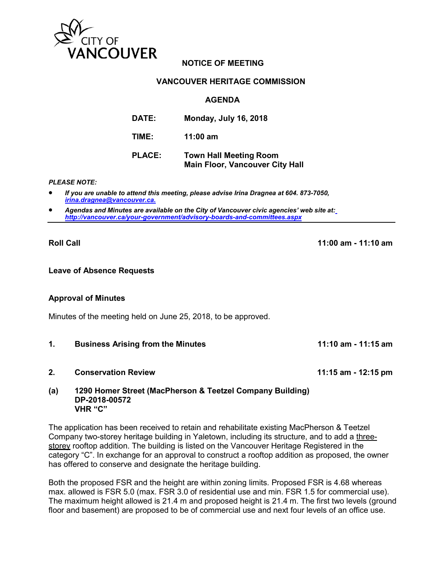

# **NOTICE OF MEETING**

### **VANCOUVER HERITAGE COMMISSION**

## **AGENDA**

| DATE:         | <b>Monday, July 16, 2018</b>                                            |
|---------------|-------------------------------------------------------------------------|
| TIME:         | $11:00$ am                                                              |
| <b>PLACE:</b> | <b>Town Hall Meeting Room</b><br><b>Main Floor, Vancouver City Hall</b> |

#### *PLEASE NOTE:*

- *If you are unable to attend this meeting, please advise Irina Dragnea at 604. 873-7050, [irina.dragnea@vancouver.ca.](mailto:irina.dragnea@vancouver.ca.)*
- *Agendas and Minutes are available on the City of Vancouver civic agencies' web site at[:](http://vancouver.ca/your-government/advisory-boards-and-committees.aspx) <http://vancouver.ca/your-government/advisory-boards-and-committees.aspx>*

**Roll Call 11:00 am - 11:10 am**

### **Leave of Absence Requests**

### **Approval of Minutes**

Minutes of the meeting held on June 25, 2018, to be approved.

- **1. Business Arising from the Minutes 11:10 am 11:15 am**
- **2. Conservation Review 11:15 am 12:15 pm**

#### **(a) 1290 Homer Street (MacPherson & Teetzel Company Building) DP-2018-00572 VHR "C"**

The application has been received to retain and rehabilitate existing MacPherson & Teetzel Company two-storey heritage building in Yaletown, including its structure, and to add a threestorey rooftop addition. The building is listed on the Vancouver Heritage Registered in the category "C". In exchange for an approval to construct a rooftop addition as proposed, the owner has offered to conserve and designate the heritage building.

Both the proposed FSR and the height are within zoning limits. Proposed FSR is 4.68 whereas max. allowed is FSR 5.0 (max. FSR 3.0 of residential use and min. FSR 1.5 for commercial use). The maximum height allowed is 21.4 m and proposed height is 21.4 m. The first two levels (ground floor and basement) are proposed to be of commercial use and next four levels of an office use.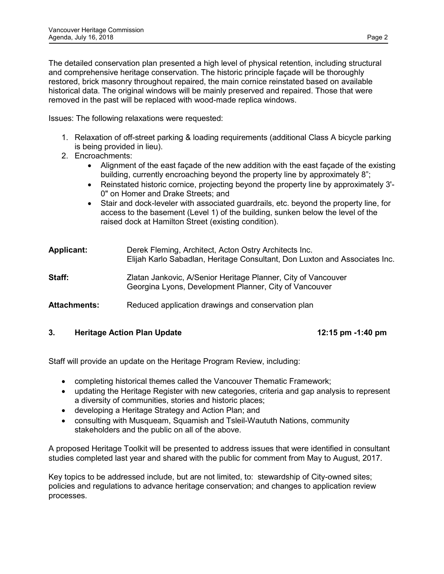The detailed conservation plan presented a high level of physical retention, including structural and comprehensive heritage conservation. The historic principle façade will be thoroughly restored, brick masonry throughout repaired, the main cornice reinstated based on available historical data. The original windows will be mainly preserved and repaired. Those that were removed in the past will be replaced with wood-made replica windows.

Issues: The following relaxations were requested:

- 1. Relaxation of off-street parking & loading requirements (additional Class A bicycle parking is being provided in lieu).
- 2. Encroachments:
	- Alignment of the east façade of the new addition with the east façade of the existing building, currently encroaching beyond the property line by approximately 8";
	- Reinstated historic cornice, projecting beyond the property line by approximately 3'- 0" on Homer and Drake Streets; and
	- Stair and dock-leveler with associated guardrails, etc. beyond the property line, for access to the basement (Level 1) of the building, sunken below the level of the raised dock at Hamilton Street (existing condition).

| <b>Applicant:</b>   | Derek Fleming, Architect, Acton Ostry Architects Inc.<br>Elijah Karlo Sabadlan, Heritage Consultant, Don Luxton and Associates Inc. |
|---------------------|-------------------------------------------------------------------------------------------------------------------------------------|
| Staff:              | Zlatan Jankovic, A/Senior Heritage Planner, City of Vancouver<br>Georgina Lyons, Development Planner, City of Vancouver             |
| <b>Attachments:</b> | Reduced application drawings and conservation plan                                                                                  |

## **3. Heritage Action Plan Update 12:15 pm -1:40 pm**

Staff will provide an update on the Heritage Program Review, including:

- completing historical themes called the Vancouver Thematic Framework;
- updating the Heritage Register with new categories, criteria and gap analysis to represent a diversity of communities, stories and historic places;
- developing a Heritage Strategy and Action Plan; and
- consulting with Musqueam, Squamish and Tsleil-Waututh Nations, community stakeholders and the public on all of the above.

A proposed Heritage Toolkit will be presented to address issues that were identified in consultant studies completed last year and shared with the public for comment from May to August, 2017.

Key topics to be addressed include, but are not limited, to: stewardship of City-owned sites; policies and regulations to advance heritage conservation; and changes to application review processes.